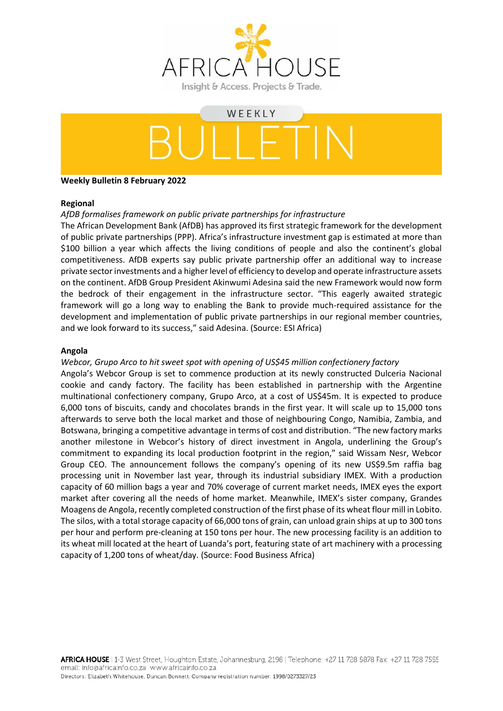

# WEEKLY

# **Weekly Bulletin 8 February 2022**

## **Regional**

# *AfDB formalises framework on public private partnerships for infrastructure*

The African Development Bank (AfDB) has approved its first strategic framework for the development of public private partnerships (PPP). Africa's infrastructure investment gap is estimated at more than \$100 billion a year which affects the living conditions of people and also the continent's global competitiveness. AfDB experts say public private partnership offer an additional way to increase private sector investments and a higher level of efficiency to develop and operate infrastructure assets on the continent. AfDB Group President Akinwumi Adesina said the new Framework would now form the bedrock of their engagement in the infrastructure sector. "This eagerly awaited strategic framework will go a long way to enabling the Bank to provide much-required assistance for the development and implementation of public private partnerships in our regional member countries, and we look forward to its success," said Adesina. (Source: ESI Africa)

# **Angola**

## *Webcor, Grupo Arco to hit sweet spot with opening of US\$45 million confectionery factory*

Angola's Webcor Group is set to commence production at its newly constructed Dulceria Nacional cookie and candy factory. The facility has been established in partnership with the Argentine multinational confectionery company, Grupo Arco, at a cost of US\$45m. It is expected to produce 6,000 tons of biscuits, candy and chocolates brands in the first year. It will scale up to 15,000 tons afterwards to serve both the local market and those of neighbouring Congo, Namibia, Zambia, and Botswana, bringing a competitive advantage in terms of cost and distribution. "The new factory marks another milestone in Webcor's history of direct investment in Angola, underlining the Group's commitment to expanding its local production footprint in the region," said Wissam Nesr, Webcor Group CEO. The announcement follows the company's opening of its new US\$9.5m raffia bag processing unit in November last year, through its industrial subsidiary IMEX. With a production capacity of 60 million bags a year and 70% coverage of current market needs, IMEX eyes the export market after covering all the needs of home market. Meanwhile, IMEX's sister company, Grandes Moagens de Angola, recently completed construction of the first phase of its wheat flour mill in Lobito. The silos, with a total storage capacity of 66,000 tons of grain, can unload grain ships at up to 300 tons per hour and perform pre-cleaning at 150 tons per hour. The new processing facility is an addition to its wheat mill located at the heart of Luanda's port, featuring state of art machinery with a processing capacity of 1,200 tons of wheat/day. (Source: Food Business Africa)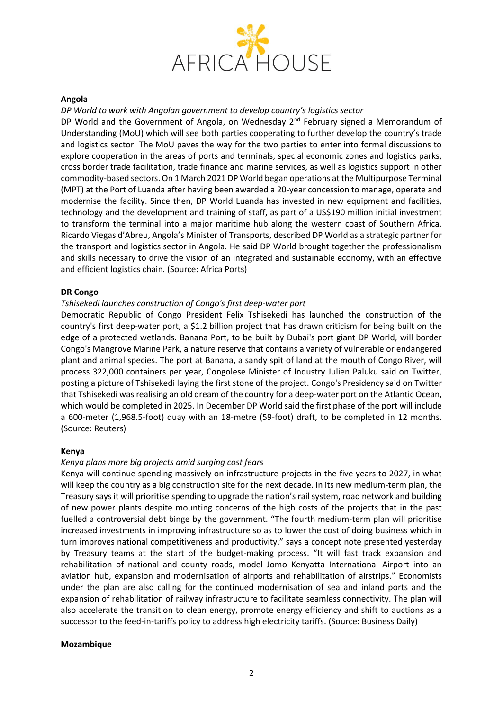

#### **Angola**

#### *DP World to work with Angolan government to develop country's logistics sector*

DP World and the Government of Angola, on Wednesday  $2<sup>nd</sup>$  February signed a Memorandum of Understanding (MoU) which will see both parties cooperating to further develop the country's trade and logistics sector. The MoU paves the way for the two parties to enter into formal discussions to explore cooperation in the areas of ports and terminals, special economic zones and logistics parks, cross border trade facilitation, trade finance and marine services, as well as logistics support in other commodity-based sectors.On 1 March 2021 DP World began operations at the Multipurpose Terminal (MPT) at the Port of Luanda after having been awarded a 20-year concession to manage, operate and modernise the facility. Since then, DP World Luanda has invested in new equipment and facilities, technology and the development and training of staff, as part of a US\$190 million initial investment to transform the terminal into a major maritime hub along the western coast of Southern Africa. Ricardo Viegas d'Abreu, Angola's Minister of Transports, described DP World as a strategic partner for the transport and logistics sector in Angola. He said DP World brought together the professionalism and skills necessary to drive the vision of an integrated and sustainable economy, with an effective and efficient logistics chain. (Source: Africa Ports)

#### **DR Congo**

#### *Tshisekedi launches construction of Congo's first deep-water port*

Democratic Republic of Congo President Felix Tshisekedi has launched the construction of the country's first deep-water port, a \$1.2 billion project that has drawn criticism for being built on the edge of a protected wetlands. Banana Port, to be built by Dubai's port giant DP World, will border Congo's Mangrove Marine Park, a nature reserve that contains a variety of vulnerable or endangered plant and animal species. The port at Banana, a sandy spit of land at the mouth of Congo River, will process 322,000 containers per year, Congolese Minister of Industry Julien Paluku said on Twitter, posting a picture of Tshisekedi laying the first stone of the project. Congo's Presidency said on Twitter that Tshisekedi was realising an old dream of the country for a deep-water port on the Atlantic Ocean, which would be completed in 2025. In December DP World said the first phase of the port will include a 600-meter (1,968.5-foot) quay with an 18-metre (59-foot) draft, to be completed in 12 months. (Source: Reuters)

#### **Kenya**

# *Kenya plans more big projects amid surging cost fears*

Kenya will continue spending massively on infrastructure projects in the five years to 2027, in what will keep the country as a big construction site for the next decade. In its new medium-term plan, the Treasury says it will prioritise spending to upgrade the nation's rail system, road network and building of new power plants despite mounting concerns of the high costs of the projects that in the past fuelled a controversial debt binge by the government. "The fourth medium-term plan will prioritise increased investments in improving infrastructure so as to lower the cost of doing business which in turn improves national competitiveness and productivity," says a concept note presented yesterday by Treasury teams at the start of the budget-making process. "It will fast track expansion and rehabilitation of national and county roads, model Jomo Kenyatta International Airport into an aviation hub, expansion and modernisation of airports and rehabilitation of airstrips." Economists under the plan are also calling for the continued modernisation of sea and inland ports and the expansion of rehabilitation of railway infrastructure to facilitate seamless connectivity. The plan will also accelerate the transition to clean energy, promote energy efficiency and shift to auctions as a successor to the feed-in-tariffs policy to address high electricity tariffs. (Source: Business Daily)

#### **Mozambique**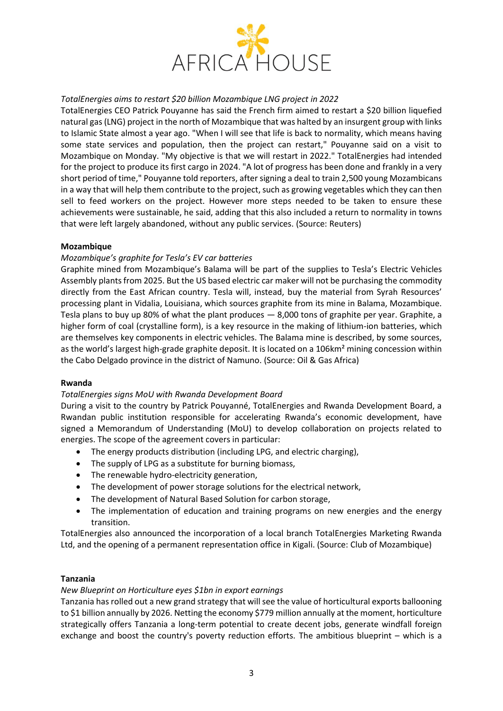

# *TotalEnergies aims to restart \$20 billion Mozambique LNG project in 2022*

TotalEnergies CEO Patrick Pouyanne has said the French firm aimed to restart a \$20 billion liquefied natural gas (LNG) project in the north of Mozambique that was halted by an insurgent group with links to Islamic State almost a year ago. "When I will see that life is back to normality, which means having some state services and population, then the project can restart," Pouyanne said on a visit to Mozambique on Monday. "My objective is that we will restart in 2022." TotalEnergies had intended for the project to produce its first cargo in 2024. "A lot of progress has been done and frankly in a very short period of time," Pouyanne told reporters, after signing a deal to train 2,500 young Mozambicans in a way that will help them contribute to the project, such as growing vegetables which they can then sell to feed workers on the project. However more steps needed to be taken to ensure these achievements were sustainable, he said, adding that this also included a return to normality in towns that were left largely abandoned, without any public services. (Source: Reuters)

## **Mozambique**

# *Mozambique's graphite for Tesla's EV car batteries*

Graphite mined from Mozambique's Balama will be part of the supplies to Tesla's Electric Vehicles Assembly plants from 2025. But the US based electric car maker will not be purchasing the commodity directly from the East African country. Tesla will, instead, buy the material from Syrah Resources' processing plant in Vidalia, Louisiana, which sources graphite from its mine in Balama, Mozambique. Tesla plans to buy up 80% of what the plant produces — 8,000 tons of graphite per year. Graphite, a higher form of coal (crystalline form), is a key resource in the making of lithium-ion batteries, which are themselves key components in electric vehicles. The Balama mine is described, by some sources, as the world's largest high-grade graphite deposit. It is located on a 106km<sup>2</sup> mining concession within the Cabo Delgado province in the district of Namuno. (Source: Oil & Gas Africa)

## **Rwanda**

## *TotalEnergies signs MoU with Rwanda Development Board*

During a visit to the country by Patrick Pouyanné, TotalEnergies and Rwanda Development Board, a Rwandan public institution responsible for accelerating Rwanda's economic development, have signed a Memorandum of Understanding (MoU) to develop collaboration on projects related to energies. The scope of the agreement covers in particular:

- The energy products distribution (including LPG, and electric charging),
- The supply of LPG as a substitute for burning biomass,
- The renewable hydro-electricity generation,
- The development of power storage solutions for the electrical network,
- The development of Natural Based Solution for carbon storage,
- The implementation of education and training programs on new energies and the energy transition.

TotalEnergies also announced the incorporation of a local branch TotalEnergies Marketing Rwanda Ltd, and the opening of a permanent representation office in Kigali. (Source: Club of Mozambique)

## **Tanzania**

## *New Blueprint on Horticulture eyes \$1bn in export earnings*

Tanzania has rolled out a new grand strategy that will see the value of horticultural exports ballooning to \$1 billion annually by 2026. Netting the economy \$779 million annually at the moment, horticulture strategically offers Tanzania a long-term potential to create decent jobs, generate windfall foreign exchange and boost the country's poverty reduction efforts. The ambitious blueprint – which is a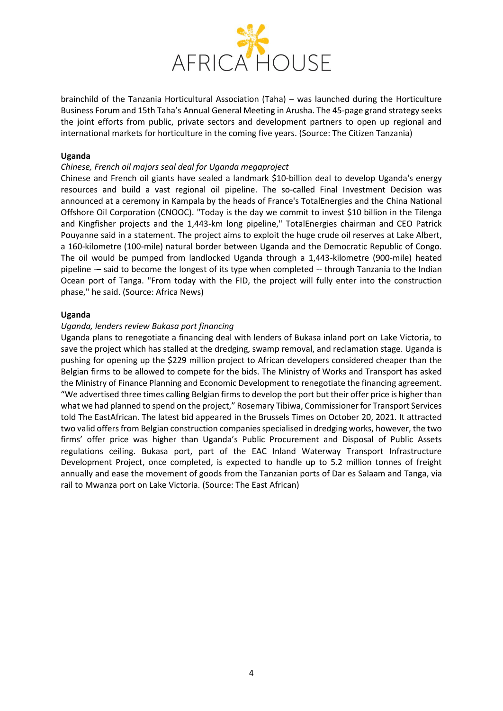

brainchild of the Tanzania Horticultural Association (Taha) – was launched during the Horticulture Business Forum and 15th Taha's Annual General Meeting in Arusha. The 45-page grand strategy seeks the joint efforts from public, private sectors and development partners to open up regional and international markets for horticulture in the coming five years. (Source: The Citizen Tanzania)

#### **Uganda**

#### *Chinese, French oil majors seal deal for Uganda megaproject*

Chinese and French oil giants have sealed a landmark \$10-billion deal to develop Uganda's energy resources and build a vast regional oil pipeline. The so-called Final Investment Decision was announced at a ceremony in Kampala by the heads of France's TotalEnergies and the China National Offshore Oil Corporation (CNOOC). "Today is the day we commit to invest \$10 billion in the Tilenga and Kingfisher projects and the 1,443-km long pipeline," TotalEnergies chairman and CEO Patrick Pouyanne said in a statement. The project aims to exploit the huge crude oil reserves at Lake Albert, a 160-kilometre (100-mile) natural border between Uganda and the Democratic Republic of Congo. The oil would be pumped from landlocked Uganda through a 1,443-kilometre (900-mile) heated pipeline -– said to become the longest of its type when completed -- through Tanzania to the Indian Ocean port of Tanga. "From today with the FID, the project will fully enter into the construction phase," he said. (Source: Africa News)

#### **Uganda**

#### *Uganda, lenders review Bukasa port financing*

Uganda plans to renegotiate a financing deal with lenders of Bukasa inland port on Lake Victoria, to save the project which has stalled at the dredging, swamp removal, and reclamation stage. Uganda is pushing for opening up the \$229 million project to African developers considered cheaper than the Belgian firms to be allowed to compete for the bids. The Ministry of Works and Transport has asked the Ministry of Finance Planning and Economic Development to renegotiate the financing agreement. "We advertised three times calling Belgian firms to develop the port but their offer price is higher than what we had planned to spend on the project," Rosemary Tibiwa, Commissioner for Transport Services told The EastAfrican. The latest bid appeared in the Brussels Times on October 20, 2021. It attracted two valid offers from Belgian construction companies specialised in dredging works, however, the two firms' offer price was higher than Uganda's Public Procurement and Disposal of Public Assets regulations ceiling. Bukasa port, part of the EAC Inland Waterway Transport Infrastructure Development Project, once completed, is expected to handle up to 5.2 million tonnes of freight annually and ease the movement of goods from the Tanzanian ports of Dar es Salaam and Tanga, via rail to Mwanza port on Lake Victoria. (Source: The East African)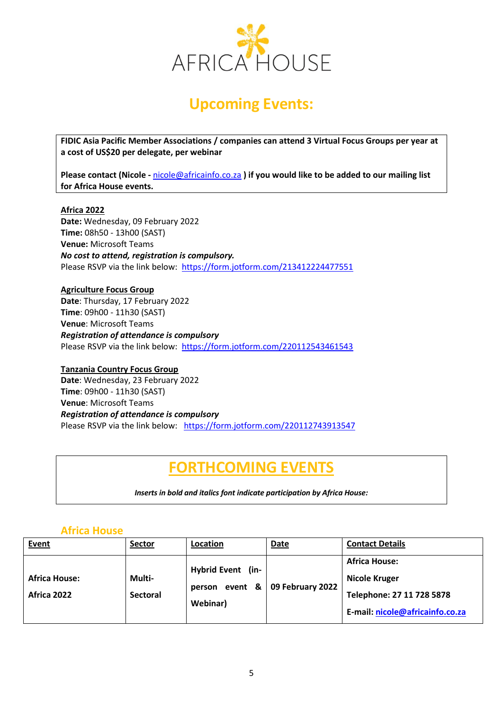

# **Upcoming Events:**

**FIDIC Asia Pacific Member Associations / companies can attend 3 Virtual Focus Groups per year at a cost of US\$20 per delegate, per webinar**

**Please contact (Nicole -** [nicole@africainfo.co.za](mailto:nicole@africainfo.co.za) **) if you would like to be added to our mailing list for Africa House events.**

## **Africa 2022**

**Date:** Wednesday, 09 February 2022 **Time:** 08h50 - 13h00 (SAST) **Venue:** Microsoft Teams *No cost to attend, registration is compulsory.* Please RSVP via the link below: <https://form.jotform.com/213412224477551>

**Agriculture Focus Group Date**: Thursday, 17 February 2022 **Time**: 09h00 - 11h30 (SAST) **Venue**: Microsoft Teams *Registration of attendance is compulsory* Please RSVP via the link below: <https://form.jotform.com/220112543461543>

**Tanzania Country Focus Group Date**: Wednesday, 23 February 2022 **Time**: 09h00 - 11h30 (SAST) **Venue**: Microsoft Teams *Registration of attendance is compulsory* Please RSVP via the link below: <https://form.jotform.com/220112743913547>

# **FORTHCOMING EVENTS**

*Inserts in bold and italics font indicate participation by Africa House:*

# **Africa House**

| Event                               | Sector                    | Location                                           | Date             | <b>Contact Details</b>                                                                                       |
|-------------------------------------|---------------------------|----------------------------------------------------|------------------|--------------------------------------------------------------------------------------------------------------|
| <b>Africa House:</b><br>Africa 2022 | Multi-<br><b>Sectoral</b> | Hybrid Event (in-<br>event &<br>person<br>Webinar) | 09 February 2022 | <b>Africa House:</b><br><b>Nicole Kruger</b><br>Telephone: 27 11 728 5878<br>E-mail: nicole@africainfo.co.za |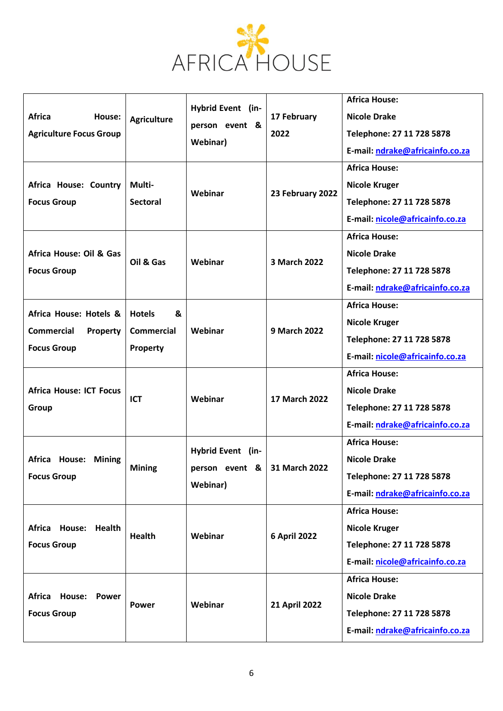

| <b>Africa</b><br>House:<br><b>Agriculture Focus Group</b><br>Africa House: Country<br><b>Focus Group</b> | <b>Agriculture</b><br>Multi-<br><b>Sectoral</b>     | Hybrid Event (in-<br>person event &<br>Webinar)<br>Webinar | 17 February<br>2022<br>23 February 2022 | <b>Africa House:</b><br><b>Nicole Drake</b><br>Telephone: 27 11 728 5878<br>E-mail: ndrake@africainfo.co.za<br><b>Africa House:</b><br><b>Nicole Kruger</b><br>Telephone: 27 11 728 5878<br>E-mail: nicole@africainfo.co.za |
|----------------------------------------------------------------------------------------------------------|-----------------------------------------------------|------------------------------------------------------------|-----------------------------------------|-----------------------------------------------------------------------------------------------------------------------------------------------------------------------------------------------------------------------------|
| Africa House: Oil & Gas<br><b>Focus Group</b>                                                            | Oil & Gas                                           | Webinar                                                    | 3 March 2022                            | <b>Africa House:</b><br><b>Nicole Drake</b><br>Telephone: 27 11 728 5878<br>E-mail: ndrake@africainfo.co.za                                                                                                                 |
| Africa House: Hotels &<br><b>Commercial</b><br>Property<br><b>Focus Group</b>                            | <b>Hotels</b><br>&<br><b>Commercial</b><br>Property | Webinar                                                    | <b>9 March 2022</b>                     | <b>Africa House:</b><br><b>Nicole Kruger</b><br>Telephone: 27 11 728 5878<br>E-mail: nicole@africainfo.co.za                                                                                                                |
| <b>Africa House: ICT Focus</b><br>Group                                                                  | <b>ICT</b>                                          | Webinar                                                    | 17 March 2022                           | <b>Africa House:</b><br><b>Nicole Drake</b><br>Telephone: 27 11 728 5878<br>E-mail: ndrake@africainfo.co.za                                                                                                                 |
| Africa<br><b>House: Mining</b><br><b>Focus Group</b>                                                     | <b>Mining</b>                                       | <b>Hybrid Event</b> (in-<br>person event &<br>Webinar)     | 31 March 2022                           | <b>Africa House:</b><br><b>Nicole Drake</b><br>Telephone: 27 11 728 5878<br>E-mail: ndrake@africainfo.co.za                                                                                                                 |
| Africa House: Health<br><b>Focus Group</b>                                                               | <b>Health</b>                                       | Webinar                                                    | <b>6 April 2022</b>                     | <b>Africa House:</b><br><b>Nicole Kruger</b><br>Telephone: 27 11 728 5878<br>E-mail: nicole@africainfo.co.za                                                                                                                |
| Africa<br><b>House:</b><br><b>Power</b><br><b>Focus Group</b>                                            | <b>Power</b>                                        | Webinar                                                    | <b>21 April 2022</b>                    | <b>Africa House:</b><br><b>Nicole Drake</b><br>Telephone: 27 11 728 5878<br>E-mail: ndrake@africainfo.co.za                                                                                                                 |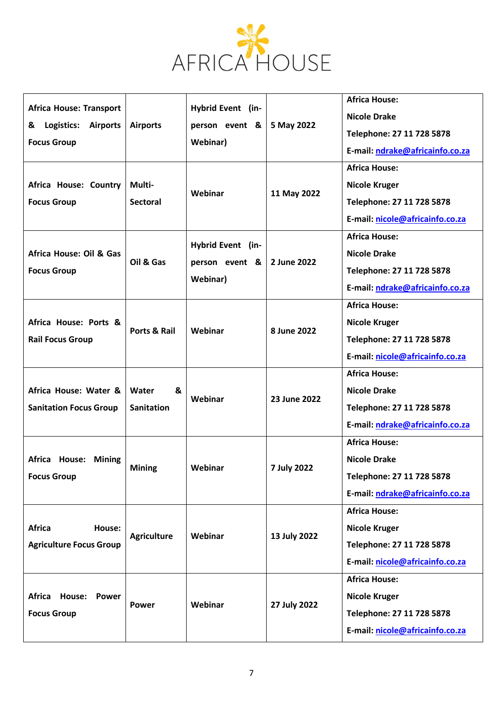

|                                                                                                               |                                 |                                     |              | <b>Africa House:</b>            |
|---------------------------------------------------------------------------------------------------------------|---------------------------------|-------------------------------------|--------------|---------------------------------|
| <b>Africa House: Transport</b><br>Logistics:<br><b>Airports</b><br><b>Airports</b><br>&<br><b>Focus Group</b> |                                 | Hybrid Event (in-                   |              | <b>Nicole Drake</b>             |
|                                                                                                               |                                 | person event &                      | 5 May 2022   | Telephone: 27 11 728 5878       |
|                                                                                                               |                                 | Webinar)                            |              | E-mail: ndrake@africainfo.co.za |
|                                                                                                               | Multi-<br><b>Sectoral</b>       | Webinar                             | 11 May 2022  | <b>Africa House:</b>            |
| Africa House: Country                                                                                         |                                 |                                     |              | <b>Nicole Kruger</b>            |
| <b>Focus Group</b>                                                                                            |                                 |                                     |              | Telephone: 27 11 728 5878       |
|                                                                                                               |                                 |                                     |              | E-mail: nicole@africainfo.co.za |
|                                                                                                               | Oil & Gas                       | Hybrid Event (in-<br>person event & | 2 June 2022  | <b>Africa House:</b>            |
| Africa House: Oil & Gas                                                                                       |                                 |                                     |              | <b>Nicole Drake</b>             |
| <b>Focus Group</b>                                                                                            |                                 |                                     |              | Telephone: 27 11 728 5878       |
|                                                                                                               |                                 | Webinar)                            |              | E-mail: ndrake@africainfo.co.za |
|                                                                                                               |                                 |                                     |              | <b>Africa House:</b>            |
| Africa House: Ports &                                                                                         | Ports & Rail                    | Webinar                             | 8 June 2022  | <b>Nicole Kruger</b>            |
| <b>Rail Focus Group</b>                                                                                       |                                 |                                     |              | Telephone: 27 11 728 5878       |
|                                                                                                               |                                 |                                     |              | E-mail: nicole@africainfo.co.za |
|                                                                                                               |                                 |                                     |              | <b>Africa House:</b>            |
| Africa House: Water &                                                                                         | Water<br>&<br><b>Sanitation</b> | Webinar                             | 23 June 2022 | <b>Nicole Drake</b>             |
| <b>Sanitation Focus Group</b>                                                                                 |                                 |                                     |              | Telephone: 27 11 728 5878       |
|                                                                                                               |                                 |                                     |              | E-mail: ndrake@africainfo.co.za |
|                                                                                                               | <b>Mining</b>                   | Webinar                             | 7 July 2022  | <b>Africa House:</b>            |
| <b>Africa</b><br><b>House: Mining</b>                                                                         |                                 |                                     |              | <b>Nicole Drake</b>             |
| <b>Focus Group</b>                                                                                            |                                 |                                     |              | Telephone: 27 11 728 5878       |
|                                                                                                               |                                 |                                     |              | E-mail: ndrake@africainfo.co.za |
|                                                                                                               | <b>Agriculture</b>              | Webinar                             | 13 July 2022 | <b>Africa House:</b>            |
| <b>Africa</b><br>House:<br><b>Agriculture Focus Group</b>                                                     |                                 |                                     |              | <b>Nicole Kruger</b>            |
|                                                                                                               |                                 |                                     |              | Telephone: 27 11 728 5878       |
|                                                                                                               |                                 |                                     |              | E-mail: nicole@africainfo.co.za |
| Africa<br><b>House:</b><br><b>Power</b><br><b>Focus Group</b>                                                 | <b>Power</b>                    | Webinar                             | 27 July 2022 | <b>Africa House:</b>            |
|                                                                                                               |                                 |                                     |              | <b>Nicole Kruger</b>            |
|                                                                                                               |                                 |                                     |              | Telephone: 27 11 728 5878       |
|                                                                                                               |                                 |                                     |              | E-mail: nicole@africainfo.co.za |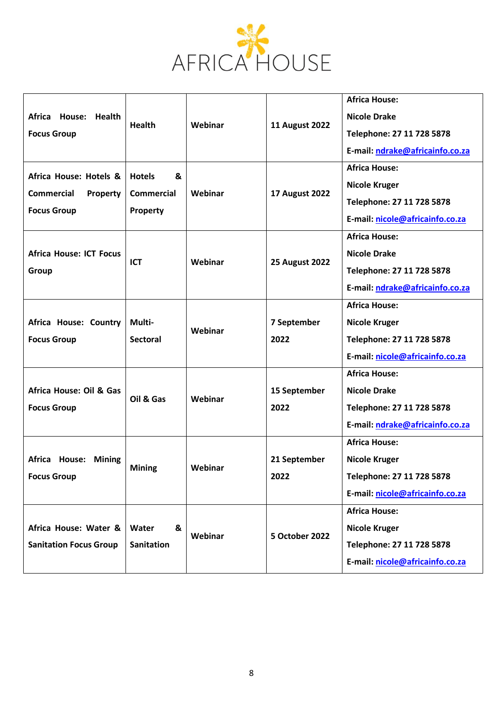

| <b>Africa</b><br>House:<br><b>Health</b><br><b>Focus Group</b>                       | <b>Health</b>                                       | Webinar | <b>11 August 2022</b> | <b>Africa House:</b><br><b>Nicole Drake</b><br>Telephone: 27 11 728 5878<br>E-mail: ndrake@africainfo.co.za<br><b>Africa House:</b> |
|--------------------------------------------------------------------------------------|-----------------------------------------------------|---------|-----------------------|-------------------------------------------------------------------------------------------------------------------------------------|
| Africa House: Hotels &<br><b>Commercial</b><br><b>Property</b><br><b>Focus Group</b> | &<br><b>Hotels</b><br><b>Commercial</b><br>Property | Webinar | <b>17 August 2022</b> | <b>Nicole Kruger</b><br>Telephone: 27 11 728 5878<br>E-mail: nicole@africainfo.co.za                                                |
| <b>Africa House: ICT Focus</b><br>Group                                              | <b>ICT</b>                                          | Webinar | <b>25 August 2022</b> | <b>Africa House:</b><br><b>Nicole Drake</b><br>Telephone: 27 11 728 5878<br>E-mail: ndrake@africainfo.co.za                         |
| Africa House: Country<br><b>Focus Group</b>                                          | Multi-<br><b>Sectoral</b>                           | Webinar | 7 September<br>2022   | <b>Africa House:</b><br><b>Nicole Kruger</b><br>Telephone: 27 11 728 5878<br>E-mail: nicole@africainfo.co.za                        |
| Africa House: Oil & Gas<br><b>Focus Group</b>                                        | Oil & Gas                                           | Webinar | 15 September<br>2022  | <b>Africa House:</b><br><b>Nicole Drake</b><br>Telephone: 27 11 728 5878<br>E-mail: ndrake@africainfo.co.za                         |
| Africa<br>House:<br><b>Mining</b><br><b>Focus Group</b>                              | <b>Mining</b>                                       | Webinar | 21 September<br>2022  | <b>Africa House:</b><br><b>Nicole Kruger</b><br>Telephone: 27 11 728 5878<br>E-mail: nicole@africainfo.co.za                        |
| Africa House: Water &<br><b>Sanitation Focus Group</b>                               | &<br>Water<br><b>Sanitation</b>                     | Webinar | <b>5 October 2022</b> | <b>Africa House:</b><br><b>Nicole Kruger</b><br>Telephone: 27 11 728 5878<br>E-mail: nicole@africainfo.co.za                        |